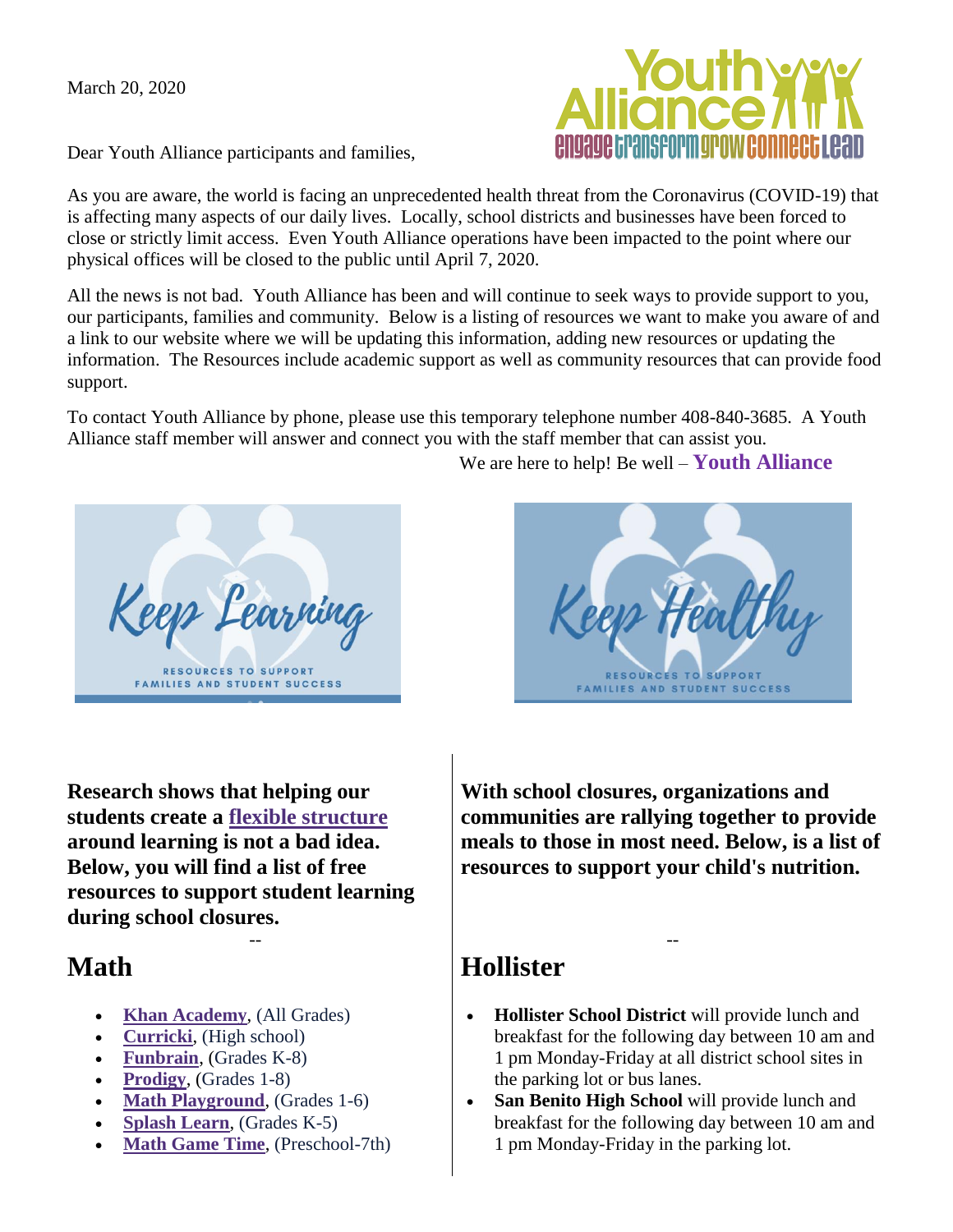March 20, 2020

Dear Youth Alliance participants and families,

As you are aware, the world is facing an unprecedented health threat from the Coronavirus (COVID-19) that is affecting many aspects of our daily lives. Locally, school districts and businesses have been forced to close or strictly limit access. Even Youth Alliance operations have been impacted to the point where our physical offices will be closed to the public until April 7, 2020.

All the news is not bad. Youth Alliance has been and will continue to seek ways to provide support to you, our participants, families and community. Below is a listing of resources we want to make you aware of and a link to our website where we will be updating this information, adding new resources or updating the information. The Resources include academic support as well as community resources that can provide food support.

To contact Youth Alliance by phone, please use this temporary telephone number 408-840-3685. A Youth Alliance staff member will answer and connect you with the staff member that can assist you.

**Research shows that helping our students create a [flexible structure](http://r20.rs6.net/tn.jsp?f=0015nQuEtfKfqjU2PhdwjPoKC6Bi9TvjaeozzT0DHm7S1ZRGK_i2BXqhjZIlUT-OfiqKnd47436BGSDXJsq4XS9__WEjUFPSl_99hwEdQaKKR48PdGLq2qinXjwBhnDdiDdrzzebsZo-i-vrL0OTEU9b5xAcP8YfAanxjPSQsyX4QgMq6pnBqjZ4kA0qShqbOX9eNARQRCcVXzDLK8Gc1ho4sEamBWlEuAbiGEoYXzhh6IDHFTMDQuea25wA4rt6Ybb&c=k_X0a_UioDAVOtX8S7gd1cKdDGEcbohNkPN1fOJhZ5Leb-asoWGvGg==&ch=N-6zBXg-VjV26nUZEfLRLIj_MyUfo0kMk1f8OhZtfpniQoNG6zXKcA==) around learning is not a bad idea. Below, you will find a list of free resources to support student learning during school closures.** 

--

#### **Math**

- **[Khan Academy](http://r20.rs6.net/tn.jsp?f=0015nQuEtfKfqjU2PhdwjPoKC6Bi9TvjaeozzT0DHm7S1ZRGK_i2BXqhjZIlUT-Ofiq_YHOsLZnCzImKoJOJ92tzQknTmpMAM17_u33wTN0kFnlNAZUCzMlv42Rg027No5hrjajGg0FfpURyg6bX_BHQO6qF74B3gQS&c=k_X0a_UioDAVOtX8S7gd1cKdDGEcbohNkPN1fOJhZ5Leb-asoWGvGg==&ch=N-6zBXg-VjV26nUZEfLRLIj_MyUfo0kMk1f8OhZtfpniQoNG6zXKcA==)**, (All Grades)
- **[Curricki](http://r20.rs6.net/tn.jsp?f=0015nQuEtfKfqjU2PhdwjPoKC6Bi9TvjaeozzT0DHm7S1ZRGK_i2BXqhjZIlUT-Ofiqir_EaR-g0r-4O6WKtKfy8eCP8tmxAuHGK73jHYiTHcYTaPk3xHJNJGEyv3husSGjwxaz5bblgW5KZ9_4PGNYo2JuRFOHL9sntg0mV5hWnQo=&c=k_X0a_UioDAVOtX8S7gd1cKdDGEcbohNkPN1fOJhZ5Leb-asoWGvGg==&ch=N-6zBXg-VjV26nUZEfLRLIj_MyUfo0kMk1f8OhZtfpniQoNG6zXKcA==)**, (High school)
- **[Funbrain](http://r20.rs6.net/tn.jsp?f=0015nQuEtfKfqjU2PhdwjPoKC6Bi9TvjaeozzT0DHm7S1ZRGK_i2BXqhjZIlUT-Ofiq5i2nD1dcgE8K8Bs5A_5DI3wwhT_hNHq6Ge0KGrKidbmQ6ikz7Le-RlG0ScZ6M1g2pENmMbQybpYQz5ToHwSQ7w==&c=k_X0a_UioDAVOtX8S7gd1cKdDGEcbohNkPN1fOJhZ5Leb-asoWGvGg==&ch=N-6zBXg-VjV26nUZEfLRLIj_MyUfo0kMk1f8OhZtfpniQoNG6zXKcA==)**, (Grades K-8)
- **[Prodigy](http://r20.rs6.net/tn.jsp?f=0015nQuEtfKfqjU2PhdwjPoKC6Bi9TvjaeozzT0DHm7S1ZRGK_i2BXqhjZIlUT-Ofiq6LpWAhxqbc3zO8dRPfKsmOp7gRS_r-ftG8rrWRkrm4BOZuL4NNzaU_0n1WRpoIij1BEZ_o7BV0WXJYoUT8J78A==&c=k_X0a_UioDAVOtX8S7gd1cKdDGEcbohNkPN1fOJhZ5Leb-asoWGvGg==&ch=N-6zBXg-VjV26nUZEfLRLIj_MyUfo0kMk1f8OhZtfpniQoNG6zXKcA==)**, (Grades 1-8)
- **[Math Playground](http://r20.rs6.net/tn.jsp?f=0015nQuEtfKfqjU2PhdwjPoKC6Bi9TvjaeozzT0DHm7S1ZRGK_i2BXqhjZIlUT-OfiqR8tmxkTIZ2Ckb9wa7LdeR2Hb3bzSp3Jd1fwdrmsNzAUTB9bIwjEqPfO7QOliCU6KSq0ZmQzVj4qeF0UEXVPgU0O7RzUzqWcW&c=k_X0a_UioDAVOtX8S7gd1cKdDGEcbohNkPN1fOJhZ5Leb-asoWGvGg==&ch=N-6zBXg-VjV26nUZEfLRLIj_MyUfo0kMk1f8OhZtfpniQoNG6zXKcA==)**, (Grades 1-6)
- **[Splash Learn](http://r20.rs6.net/tn.jsp?f=0015nQuEtfKfqjU2PhdwjPoKC6Bi9TvjaeozzT0DHm7S1ZRGK_i2BXqhjZIlUT-OfiqdbbyVIjzybER9fF6vJ2tXfglWn67zFiIcL1gDZdHTLQdUZ5qOfqv1nEg49Ay0Q_Ww-bf3Q4C-Pnfb6Rs3oDQlg==&c=k_X0a_UioDAVOtX8S7gd1cKdDGEcbohNkPN1fOJhZ5Leb-asoWGvGg==&ch=N-6zBXg-VjV26nUZEfLRLIj_MyUfo0kMk1f8OhZtfpniQoNG6zXKcA==)**, (Grades K-5)
- **[Math Game Time](http://r20.rs6.net/tn.jsp?f=0015nQuEtfKfqjU2PhdwjPoKC6Bi9TvjaeozzT0DHm7S1ZRGK_i2BXqhjZIlUT-OfiqYHfcW0Um6bIUSjIq2h7rrCUrffzMVVaKxQHNe6_I-HDtovMtIg_EQX-afL3giQH-Rm3I6Yz6hfsL0PVfUEdfHg==&c=k_X0a_UioDAVOtX8S7gd1cKdDGEcbohNkPN1fOJhZ5Leb-asoWGvGg==&ch=N-6zBXg-VjV26nUZEfLRLIj_MyUfo0kMk1f8OhZtfpniQoNG6zXKcA==)**, (Preschool-7th)

**With school closures, organizations and communities are rallying together to provide meals to those in most need. Below, is a list of resources to support your child's nutrition.** 

## **Hollister**

 **Hollister School District** will provide lunch and breakfast for the following day between 10 am and 1 pm Monday-Friday at all district school sites in the parking lot or bus lanes.

--

 **San Benito High School** will provide lunch and breakfast for the following day between 10 am and 1 pm Monday-Friday in the parking lot.

**RESOURCES TO SUPPORT** 

**FAMILIES AND STUDENT SUCCESS** 

We are here to help! Be well – **Youth Alliance**





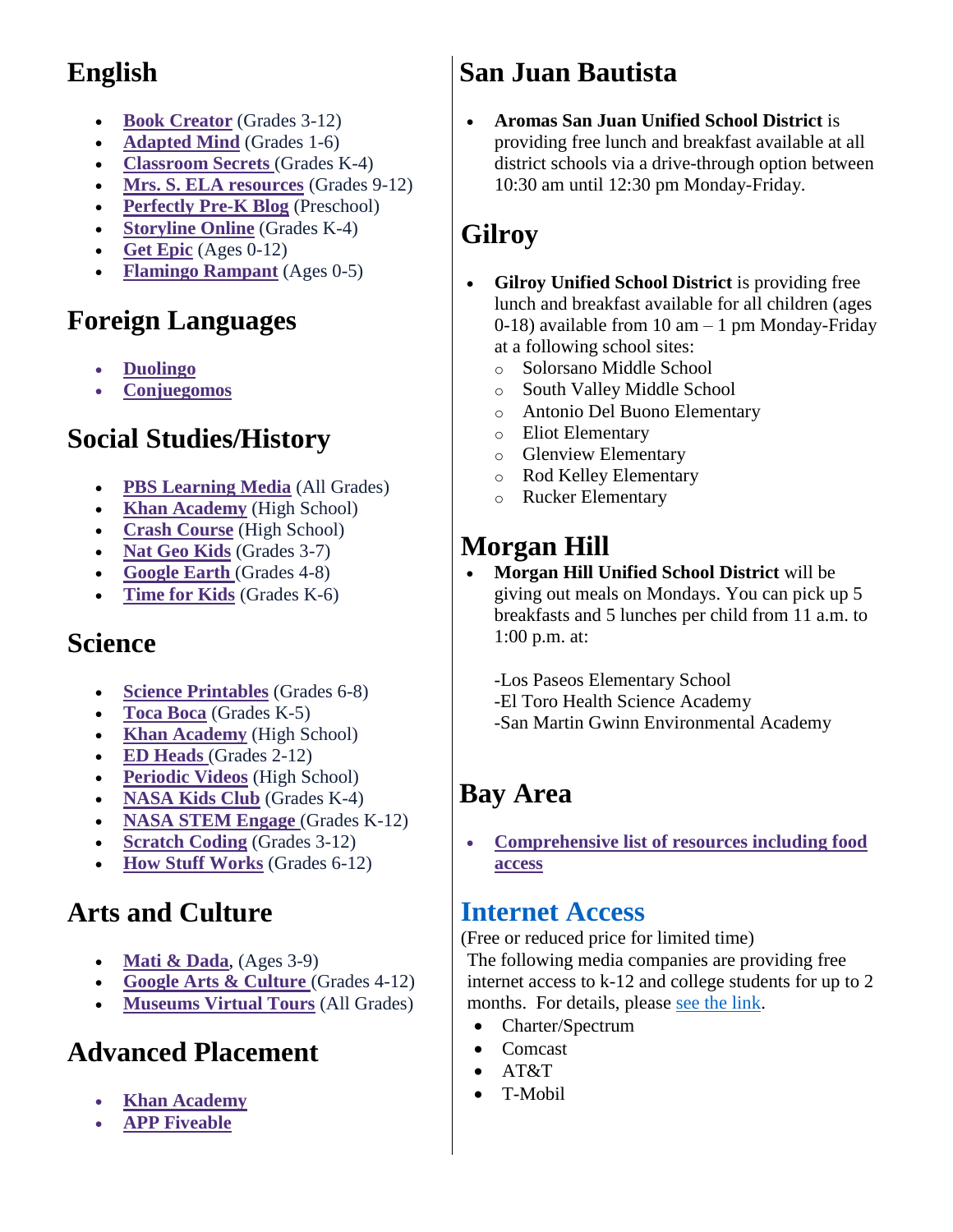# **English**

- **[Book Creator](http://r20.rs6.net/tn.jsp?f=0015nQuEtfKfqjU2PhdwjPoKC6Bi9TvjaeozzT0DHm7S1ZRGK_i2BXqhjZIlUT-OfiqaFx_InzG5r9jhm7IzbuD4_qxbEhZI3Nh0FtQXJTUsHiVj4wIL7MmvJ648BRjwxTQjWJlz5lsu0fPLT1B2cTpdbiKYW_ZdPgi&c=k_X0a_UioDAVOtX8S7gd1cKdDGEcbohNkPN1fOJhZ5Leb-asoWGvGg==&ch=N-6zBXg-VjV26nUZEfLRLIj_MyUfo0kMk1f8OhZtfpniQoNG6zXKcA==)** (Grades 3-12)
- **[Adapted Mind](http://r20.rs6.net/tn.jsp?f=0015nQuEtfKfqjU2PhdwjPoKC6Bi9TvjaeozzT0DHm7S1ZRGK_i2BXqhjZIlUT-OfiqlERM6XVnbe-GkHNdkkcWc3qCnsHT9BIH0EVn3pCgpn2-SLPiEl7Rcn8GUDKsH_o21HE7QZjYLirU3CMSCWGEDVcQ0Bb40u0aXYhjJmQmI_o=&c=k_X0a_UioDAVOtX8S7gd1cKdDGEcbohNkPN1fOJhZ5Leb-asoWGvGg==&ch=N-6zBXg-VjV26nUZEfLRLIj_MyUfo0kMk1f8OhZtfpniQoNG6zXKcA==)** (Grades 1-6)
- **[Classroom Secrets](http://r20.rs6.net/tn.jsp?f=0015nQuEtfKfqjU2PhdwjPoKC6Bi9TvjaeozzT0DHm7S1ZRGK_i2BXqhjZIlUT-OfiqB_DCgOI4zdmSpV0AmOEn5CPdQzdanrcoJM_RfX2ZmADjnJlKUghGJGo1eOgyG80Jw7nYFEqCh_lt2mqX9KBcsfB60eRhikWv&c=k_X0a_UioDAVOtX8S7gd1cKdDGEcbohNkPN1fOJhZ5Leb-asoWGvGg==&ch=N-6zBXg-VjV26nUZEfLRLIj_MyUfo0kMk1f8OhZtfpniQoNG6zXKcA==)** (Grades K-4)
- **[Mrs. S. ELA resources](http://r20.rs6.net/tn.jsp?f=0015nQuEtfKfqjU2PhdwjPoKC6Bi9TvjaeozzT0DHm7S1ZRGK_i2BXqhjZIlUT-OfiqAYMmFDX_b0RkdB1isxONygVNOKCR72Yy_MDnQ1cnYn5bq2Nr4czh0ua33a6Ymjsse0KJOCB5ZA99T7DYtnySTU4M-1Ikh3TijsCotH9NzFUr1XssmHYdVWe82Tl4zIa6c_kviHK1mo0aHZZif8X9q-9EjXkIJvfg&c=k_X0a_UioDAVOtX8S7gd1cKdDGEcbohNkPN1fOJhZ5Leb-asoWGvGg==&ch=N-6zBXg-VjV26nUZEfLRLIj_MyUfo0kMk1f8OhZtfpniQoNG6zXKcA==)** (Grades 9-12)
- **[Perfectly Pre-K Blog](http://r20.rs6.net/tn.jsp?f=0015nQuEtfKfqjU2PhdwjPoKC6Bi9TvjaeozzT0DHm7S1ZRGK_i2BXqhjZIlUT-OfiqQynftroOtXHct5wtnjbSSZ2gZyP5_NM954B8Ll8yAq5dbzBzM2syu5hDRBvNECDZQj6hEC9K_z3_wIfvvrm7HMM8lYoylrSUiYJ7bHfpd9s=&c=k_X0a_UioDAVOtX8S7gd1cKdDGEcbohNkPN1fOJhZ5Leb-asoWGvGg==&ch=N-6zBXg-VjV26nUZEfLRLIj_MyUfo0kMk1f8OhZtfpniQoNG6zXKcA==)** (Preschool)
- **[Storyline Online](http://r20.rs6.net/tn.jsp?f=0015nQuEtfKfqjU2PhdwjPoKC6Bi9TvjaeozzT0DHm7S1ZRGK_i2BXqhjZIlUT-Ofiq6cDyo3QEP39OSs4VVHrZUwItn4-HzG4C-TwtSVJWw-67Sc3DJPNQLOnH2QyGGGvmnT5pEhlOvQoPzhiQYzKm9RjlEfex2eal3yM_6-naXGk=&c=k_X0a_UioDAVOtX8S7gd1cKdDGEcbohNkPN1fOJhZ5Leb-asoWGvGg==&ch=N-6zBXg-VjV26nUZEfLRLIj_MyUfo0kMk1f8OhZtfpniQoNG6zXKcA==)** (Grades K-4)
- **[Get Epic](http://r20.rs6.net/tn.jsp?f=0015nQuEtfKfqjU2PhdwjPoKC6Bi9TvjaeozzT0DHm7S1ZRGK_i2BXqhjZIlUT-Ofiqh-o-KoKdPC0_5FQvIVuFCY13NIt3Xt-KA5MEaly7cQIgUu6r5SOQPs8eU_vufbtdCqL6OIXdqyOaXbVu7cwlvg==&c=k_X0a_UioDAVOtX8S7gd1cKdDGEcbohNkPN1fOJhZ5Leb-asoWGvGg==&ch=N-6zBXg-VjV26nUZEfLRLIj_MyUfo0kMk1f8OhZtfpniQoNG6zXKcA==)** (Ages 0-12)
- **[Flamingo Rampant](http://r20.rs6.net/tn.jsp?f=0015nQuEtfKfqjU2PhdwjPoKC6Bi9TvjaeozzT0DHm7S1ZRGK_i2BXqhjZIlUT-Ofiqdwyc3cQO7lZheKsXj1YVGH96siXY2eaVX8CP3qW7UUsSukn11gRjzfWBoMHcC4Am8m1XMcLfSYh3_PbogzfV3C9-w0rIEXoiNgrUqPzOLiE=&c=k_X0a_UioDAVOtX8S7gd1cKdDGEcbohNkPN1fOJhZ5Leb-asoWGvGg==&ch=N-6zBXg-VjV26nUZEfLRLIj_MyUfo0kMk1f8OhZtfpniQoNG6zXKcA==)** (Ages 0-5)

# **Foreign Languages**

- **[Duolingo](http://r20.rs6.net/tn.jsp?f=0015nQuEtfKfqjU2PhdwjPoKC6Bi9TvjaeozzT0DHm7S1ZRGK_i2BXqhjZIlUT-OfiqFBTJopltir5pmKpGh1AnqYshdzNDKPkra8i5h9ndFPI_wsS9qzds2EGWjwwJdgbeWHuqIltpLQ5qa_DJ85_iKQ==&c=k_X0a_UioDAVOtX8S7gd1cKdDGEcbohNkPN1fOJhZ5Leb-asoWGvGg==&ch=N-6zBXg-VjV26nUZEfLRLIj_MyUfo0kMk1f8OhZtfpniQoNG6zXKcA==)**
- **[Conjuegomos](http://r20.rs6.net/tn.jsp?f=0015nQuEtfKfqjU2PhdwjPoKC6Bi9TvjaeozzT0DHm7S1ZRGK_i2BXqhjZIlUT-OfiqhHClhPJ6CVLfMya6MXzi1ElF9nqRc1N0RkDkPlnE4A-0tgMW66yVZHoP783y2cCwhaZKPYZa91BnDTSAmO6LAwdZhMltGDAawJAqhV1Znv_LAnozkPlUg6iJwVcbeTzJ&c=k_X0a_UioDAVOtX8S7gd1cKdDGEcbohNkPN1fOJhZ5Leb-asoWGvGg==&ch=N-6zBXg-VjV26nUZEfLRLIj_MyUfo0kMk1f8OhZtfpniQoNG6zXKcA==)**

### **Social Studies/History**

- **[PBS Learning Media](http://r20.rs6.net/tn.jsp?f=0015nQuEtfKfqjU2PhdwjPoKC6Bi9TvjaeozzT0DHm7S1ZRGK_i2BXqhjZIlUT-OfiqOHAUiCxoTz6hpaivCzj0AA-q_sr8GeSQ9Q2Z7d6S16YeI-58CHl7AOcf4tS5xfUEeuJLDkBClBwHVbzEuNMlRa1CiWFVtZP_&c=k_X0a_UioDAVOtX8S7gd1cKdDGEcbohNkPN1fOJhZ5Leb-asoWGvGg==&ch=N-6zBXg-VjV26nUZEfLRLIj_MyUfo0kMk1f8OhZtfpniQoNG6zXKcA==)** (All Grades)
- **[Khan Academy](http://r20.rs6.net/tn.jsp?f=0015nQuEtfKfqjU2PhdwjPoKC6Bi9TvjaeozzT0DHm7S1ZRGK_i2BXqhjZIlUT-OfiqXzc1qCiE04iVwIgGWSwCVYct1i827wX6Dan06JaU4dQXQ5L7HumOk88tAXXa1b3nSm-QnMyqgXU578WFZ2i33sD6rbQDQb6p&c=k_X0a_UioDAVOtX8S7gd1cKdDGEcbohNkPN1fOJhZ5Leb-asoWGvGg==&ch=N-6zBXg-VjV26nUZEfLRLIj_MyUfo0kMk1f8OhZtfpniQoNG6zXKcA==)** (High School)
- **[Crash Course](http://r20.rs6.net/tn.jsp?f=0015nQuEtfKfqjU2PhdwjPoKC6Bi9TvjaeozzT0DHm7S1ZRGK_i2BXqhjZIlUT-Ofiq3MnBbQDDs5Q77nRa5unVbIS6KB87I0FmQURU1RMc1Q3CBnWt1rR6aSUkQgPsSLCDoj_Pzkge8VlmqoFUyYNHCIt-hsrf8_gc&c=k_X0a_UioDAVOtX8S7gd1cKdDGEcbohNkPN1fOJhZ5Leb-asoWGvGg==&ch=N-6zBXg-VjV26nUZEfLRLIj_MyUfo0kMk1f8OhZtfpniQoNG6zXKcA==)** (High School)
- **[Nat Geo Kids](http://r20.rs6.net/tn.jsp?f=0015nQuEtfKfqjU2PhdwjPoKC6Bi9TvjaeozzT0DHm7S1ZRGK_i2BXqhjZIlUT-Ofiq_zOeN-R0Z6_DZ2PxEG7PHEAulUsLQZGVrTOlHTq0fw-sles0lLpvpPlWJ1096gdxQxpBQ7EkuCnaEbdb_dbUSe2lBBi-MMCb&c=k_X0a_UioDAVOtX8S7gd1cKdDGEcbohNkPN1fOJhZ5Leb-asoWGvGg==&ch=N-6zBXg-VjV26nUZEfLRLIj_MyUfo0kMk1f8OhZtfpniQoNG6zXKcA==)** (Grades 3-7)
- **[Google Earth](http://r20.rs6.net/tn.jsp?f=0015nQuEtfKfqjU2PhdwjPoKC6Bi9TvjaeozzT0DHm7S1ZRGK_i2BXqhjZIlUT-Ofiqw9c5Dhk120ju0Fp5KW8XiJQ4mZIObhL5gOHTnO2HwjEHDN2EDGHHk40cO8KOlBzSGO3ILy4yb9rQM1t4hBBDAUi_ctXpIQrsDJRIGcP2N57g8sUNlmN9kYBvlot6oMgC&c=k_X0a_UioDAVOtX8S7gd1cKdDGEcbohNkPN1fOJhZ5Leb-asoWGvGg==&ch=N-6zBXg-VjV26nUZEfLRLIj_MyUfo0kMk1f8OhZtfpniQoNG6zXKcA==)** (Grades 4-8)
- **[Time for Kids](http://r20.rs6.net/tn.jsp?f=0015nQuEtfKfqjU2PhdwjPoKC6Bi9TvjaeozzT0DHm7S1ZRGK_i2BXqhjZIlUT-OfiqNI4Odza-RbbTTbrpgbbZU1B6QW0Nn6RQ1D8mdWI482M2BZx4vDxHle5hMp9RYHWSppeS-oLhmk1jiHhwcQxhlQ==&c=k_X0a_UioDAVOtX8S7gd1cKdDGEcbohNkPN1fOJhZ5Leb-asoWGvGg==&ch=N-6zBXg-VjV26nUZEfLRLIj_MyUfo0kMk1f8OhZtfpniQoNG6zXKcA==)** (Grades K-6)

## **Science**

- **[Science Printables](http://r20.rs6.net/tn.jsp?f=0015nQuEtfKfqjU2PhdwjPoKC6Bi9TvjaeozzT0DHm7S1ZRGK_i2BXqhjZIlUT-OfiqZ0aoiXKZV61nMGYXmnLbXL5rUgkSRaRs2MjjRi8FZDfjdrsNKxGJJjYTl61Ks_O2BO6AAVzd6Vi-ZznZ317D_ryrYVoObiIT_QMQQ3AezgRhOStFOaTZQw==&c=k_X0a_UioDAVOtX8S7gd1cKdDGEcbohNkPN1fOJhZ5Leb-asoWGvGg==&ch=N-6zBXg-VjV26nUZEfLRLIj_MyUfo0kMk1f8OhZtfpniQoNG6zXKcA==)** (Grades 6-8)
- **[Toca Boca](http://r20.rs6.net/tn.jsp?f=0015nQuEtfKfqjU2PhdwjPoKC6Bi9TvjaeozzT0DHm7S1ZRGK_i2BXqhjZIlUT-OfiqJP2T1cq9bc2eUXtB_Qq_QeMECusOi6HKJ4ohEfp2cUGLiinmER7coNB4jIQ0aJBnAqCdr4Xfk-HdctBnzNUeYXh8_SaXKECjI2oQSc1txTPBAfVkTe8K6A==&c=k_X0a_UioDAVOtX8S7gd1cKdDGEcbohNkPN1fOJhZ5Leb-asoWGvGg==&ch=N-6zBXg-VjV26nUZEfLRLIj_MyUfo0kMk1f8OhZtfpniQoNG6zXKcA==)** (Grades K-5)
- **[Khan Academy](http://r20.rs6.net/tn.jsp?f=0015nQuEtfKfqjU2PhdwjPoKC6Bi9TvjaeozzT0DHm7S1ZRGK_i2BXqhjZIlUT-OfiqftFgbj02l3QK5MmfTzGg0VgN-ujDO4ag08DfxrQ4Rs4Tz4p_19KCgZXqM_-vLABJurhfWEOHqHzZuKa9YshWXfsx399M9zDR&c=k_X0a_UioDAVOtX8S7gd1cKdDGEcbohNkPN1fOJhZ5Leb-asoWGvGg==&ch=N-6zBXg-VjV26nUZEfLRLIj_MyUfo0kMk1f8OhZtfpniQoNG6zXKcA==)** (High School)
- **[ED Heads](http://r20.rs6.net/tn.jsp?f=0015nQuEtfKfqjU2PhdwjPoKC6Bi9TvjaeozzT0DHm7S1ZRGK_i2BXqhjZIlUT-OfiqjJXTXw1jVpySlGjpyNO1BrD49wk_QJ_6jHihRRQ77cZ-W9M1wyKCTYoKLxIs2BEOrvOjYj_fz9SmrlkMMyqoClDzSi6SropT&c=k_X0a_UioDAVOtX8S7gd1cKdDGEcbohNkPN1fOJhZ5Leb-asoWGvGg==&ch=N-6zBXg-VjV26nUZEfLRLIj_MyUfo0kMk1f8OhZtfpniQoNG6zXKcA==)** (Grades 2-12)
- **[Periodic Videos](http://r20.rs6.net/tn.jsp?f=0015nQuEtfKfqjU2PhdwjPoKC6Bi9TvjaeozzT0DHm7S1ZRGK_i2BXqhjZIlUT-Ofiq3dlh0CoOf92v4B3iNEiVmnu-5D9mpxZgth_soeNSDUXkV_EvO5qM_RYE2_lt4_nNHxVkeFj14H1Qv1uUIE1HGw==&c=k_X0a_UioDAVOtX8S7gd1cKdDGEcbohNkPN1fOJhZ5Leb-asoWGvGg==&ch=N-6zBXg-VjV26nUZEfLRLIj_MyUfo0kMk1f8OhZtfpniQoNG6zXKcA==)** (High School)
- **[NASA Kids Club](http://r20.rs6.net/tn.jsp?f=0015nQuEtfKfqjU2PhdwjPoKC6Bi9TvjaeozzT0DHm7S1ZRGK_i2BXqhjZIlUT-Ofiq3AmC98cwI3YJ3XzRngqnwlTi84JBHE-oQXis3YUjL8MuEaFjqCmBKjwULQc2Lv6C9_qO9-LqMEYNvLm7EnM9WAavUl8fkwgYeh3SrG4i3Fc=&c=k_X0a_UioDAVOtX8S7gd1cKdDGEcbohNkPN1fOJhZ5Leb-asoWGvGg==&ch=N-6zBXg-VjV26nUZEfLRLIj_MyUfo0kMk1f8OhZtfpniQoNG6zXKcA==)** (Grades K-4)
- **NASA STEM Engage** (Grades K-12)
- **[Scratch Coding](http://r20.rs6.net/tn.jsp?f=0015nQuEtfKfqjU2PhdwjPoKC6Bi9TvjaeozzT0DHm7S1ZRGK_i2BXqhjZIlUT-OfiqHtKy9EfKCeWKa5kKFkNgX_082TMsR2KeEmd5snEz2GUEpxzvAS6cx3TIJYuewdcJSckKAMgzYdDnsjUKs31uXA==&c=k_X0a_UioDAVOtX8S7gd1cKdDGEcbohNkPN1fOJhZ5Leb-asoWGvGg==&ch=N-6zBXg-VjV26nUZEfLRLIj_MyUfo0kMk1f8OhZtfpniQoNG6zXKcA==)** (Grades 3-12)
- **[How Stuff Works](http://r20.rs6.net/tn.jsp?f=0015nQuEtfKfqjU2PhdwjPoKC6Bi9TvjaeozzT0DHm7S1ZRGK_i2BXqhjZIlUT-Ofiqp0AiUpjXNmMlXTANqsxn2qcHC2qsc0mMk_g5kuN47p_3IzqK4K3Cx9VWmlprY3BcH_S1QkiFLa3RuQx6KvVlLA==&c=k_X0a_UioDAVOtX8S7gd1cKdDGEcbohNkPN1fOJhZ5Leb-asoWGvGg==&ch=N-6zBXg-VjV26nUZEfLRLIj_MyUfo0kMk1f8OhZtfpniQoNG6zXKcA==)** (Grades 6-12)

# **Arts and Culture**

- **[Mati & Dada](http://r20.rs6.net/tn.jsp?f=0015nQuEtfKfqjU2PhdwjPoKC6Bi9TvjaeozzT0DHm7S1ZRGK_i2BXqhjZIlUT-Ofiqqq52WxmNoAh98eI1psln9_EV874fu5-zXthZcK9p0whci7CjPY_ZWRJx6N_9Wf3Wsk_nH_O5D8WVYEuW6LduUBct7Kp8EECrxFnzUcndYHMFKYbbjEwUL60nlXH3Afgl&c=k_X0a_UioDAVOtX8S7gd1cKdDGEcbohNkPN1fOJhZ5Leb-asoWGvGg==&ch=N-6zBXg-VjV26nUZEfLRLIj_MyUfo0kMk1f8OhZtfpniQoNG6zXKcA==)**, (Ages 3-9)
- **[Google Arts & Culture](http://r20.rs6.net/tn.jsp?f=0015nQuEtfKfqjU2PhdwjPoKC6Bi9TvjaeozzT0DHm7S1ZRGK_i2BXqhjZIlUT-OfiqiCcAYgM4RjdAQmJs-NNuK6xCRkEenfCqK5DpYIiNqKXC-IkTtN_lGFE096trF4e9SmO7x_9m-Gn2LGNnISiEOFssFY0yiCyW&c=k_X0a_UioDAVOtX8S7gd1cKdDGEcbohNkPN1fOJhZ5Leb-asoWGvGg==&ch=N-6zBXg-VjV26nUZEfLRLIj_MyUfo0kMk1f8OhZtfpniQoNG6zXKcA==)** (Grades 4-12)
- **[Museums Virtual Tours](http://r20.rs6.net/tn.jsp?f=0015nQuEtfKfqjU2PhdwjPoKC6Bi9TvjaeozzT0DHm7S1ZRGK_i2BXqhjZIlUT-OfiqADOUSmZ5Iays39pEWXj-AHwtnmb9aswuUj2AphODZDO9OUoUhyWQjV147Ns3A-bySEYikW8Fklg9-51or2_zW0WhcEG_RpkneL9VzHLhE2asuRWxALsWEy9NQiU4avRNxgYPriRy_oI=&c=k_X0a_UioDAVOtX8S7gd1cKdDGEcbohNkPN1fOJhZ5Leb-asoWGvGg==&ch=N-6zBXg-VjV26nUZEfLRLIj_MyUfo0kMk1f8OhZtfpniQoNG6zXKcA==)** (All Grades)

# **Advanced Placement**

- **[Khan Academy](http://r20.rs6.net/tn.jsp?f=0015nQuEtfKfqjU2PhdwjPoKC6Bi9TvjaeozzT0DHm7S1ZRGK_i2BXqhjZIlUT-OfiqLTvWRDThwKphZAj9FrycmBzEiPFTsWYKdcGCWHCJoFM5gwz3aFsbrcuZ_iMPB3Gk53n5fkSnl4OKQkKeHsyqh4ADBzS0M8DkaBm916I9qzLpsEEWck7wJMdh8xc2ZQCO4YVQoNuvKFOITW1nYqCV7uD3pb2XwZHSoG8c-qFDgLlUS1rnWzou5J9DoczRgktBOaC_I9WYK3A=&c=k_X0a_UioDAVOtX8S7gd1cKdDGEcbohNkPN1fOJhZ5Leb-asoWGvGg==&ch=N-6zBXg-VjV26nUZEfLRLIj_MyUfo0kMk1f8OhZtfpniQoNG6zXKcA==)**
- **[APP Fiveable](http://r20.rs6.net/tn.jsp?f=0015nQuEtfKfqjU2PhdwjPoKC6Bi9TvjaeozzT0DHm7S1ZRGK_i2BXqhjZIlUT-OfiqlhhOXmGfnop38xs5At-XsbBT9m87xnRciOMpW1tCnvZjCc8dw3U3szbDBkIOt7CB4NjpmAc3Pca2U9FHAWZT95E-_ECRCl1G&c=k_X0a_UioDAVOtX8S7gd1cKdDGEcbohNkPN1fOJhZ5Leb-asoWGvGg==&ch=N-6zBXg-VjV26nUZEfLRLIj_MyUfo0kMk1f8OhZtfpniQoNG6zXKcA==)**

# **San Juan Bautista**

 **Aromas San Juan Unified School District** is providing free lunch and breakfast available at all district schools via a drive-through option between 10:30 am until 12:30 pm Monday-Friday.

# **Gilroy**

- **Gilroy Unified School District** is providing free lunch and breakfast available for all children (ages 0-18) available from 10 am – 1 pm Monday-Friday at a following school sites:
	- o Solorsano Middle School
	- o South Valley Middle School
	- o Antonio Del Buono Elementary
	- o Eliot Elementary
	- o Glenview Elementary
	- o Rod Kelley Elementary
	- o Rucker Elementary

# **Morgan Hill**

 **Morgan Hill Unified School District** will be giving out meals on Mondays. You can pick up 5 breakfasts and 5 lunches per child from 11 a.m. to 1:00 p.m. at:

-Los Paseos Elementary School -El Toro Health Science Academy -San Martin Gwinn Environmental Academy

# **Bay Area**

 **[Comprehensive list of resources including food](http://r20.rs6.net/tn.jsp?f=0015nQuEtfKfqjU2PhdwjPoKC6Bi9TvjaeozzT0DHm7S1ZRGK_i2BXqhjZIlUT-OfiqL_yHSqLl1ys7kamEIh96T1tmTbhVMeHnvX0FClGCu3JnPdzfZ1tyNxhtef3JpFgIsV4UgWlGAYkMfKp2xavGCliGTyw6qGqSG3lcSnQ_JBlTakP8EVhSJEe1e_eitI-62rqvXPL-gac5GHQRu_xAhDS6tizIikvW6v37V6FVUBY=&c=k_X0a_UioDAVOtX8S7gd1cKdDGEcbohNkPN1fOJhZ5Leb-asoWGvGg==&ch=N-6zBXg-VjV26nUZEfLRLIj_MyUfo0kMk1f8OhZtfpniQoNG6zXKcA==)  [access](http://r20.rs6.net/tn.jsp?f=0015nQuEtfKfqjU2PhdwjPoKC6Bi9TvjaeozzT0DHm7S1ZRGK_i2BXqhjZIlUT-OfiqL_yHSqLl1ys7kamEIh96T1tmTbhVMeHnvX0FClGCu3JnPdzfZ1tyNxhtef3JpFgIsV4UgWlGAYkMfKp2xavGCliGTyw6qGqSG3lcSnQ_JBlTakP8EVhSJEe1e_eitI-62rqvXPL-gac5GHQRu_xAhDS6tizIikvW6v37V6FVUBY=&c=k_X0a_UioDAVOtX8S7gd1cKdDGEcbohNkPN1fOJhZ5Leb-asoWGvGg==&ch=N-6zBXg-VjV26nUZEfLRLIj_MyUfo0kMk1f8OhZtfpniQoNG6zXKcA==)**

#### **[Internet Access](https://docs.google.com/document/d/1-v7L2izZnbJBhNAxRBsDN-VKgZMm2-bdwC_YL-SzuTY/mobilebasic?usp=gmail_thread)**

(Free or reduced price for limited time) The following media companies are providing free internet access to k-12 and college students for up to 2 months. For details, please [see the link.](http://site.youthall.org/…/…/03/covid-19-internet-access.pdf)

- Charter/Spectrum
- Comcast
- AT&T
- T-Mobil